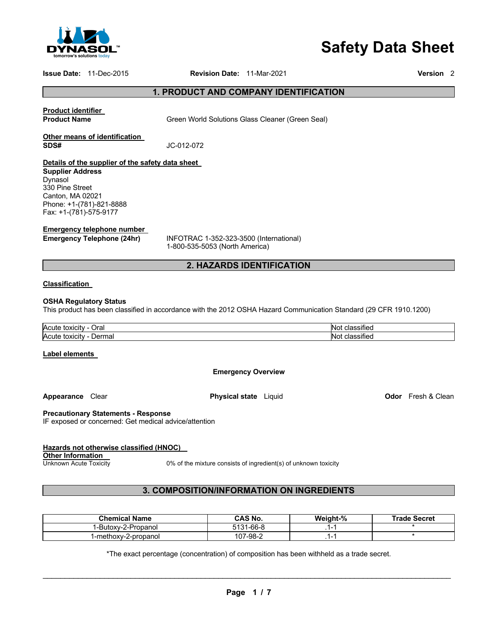

# **Safety Data Sheet**

### **Issue Date:** 11-Dec-2015 **Revision Date:** 11-Mar-2021 **Version** 2

# **1. PRODUCT AND COMPANY IDENTIFICATION**

# **Product identifier**

**Product Name Green World Solutions Glass Cleaner (Green Seal)** 

### **Other means of identification SDS#** JC-012-072

## **Details of the supplier of the safety data sheet**

**Supplier Address** Dynasol 330 Pine Street Canton, MA 02021 Phone: +1-(781)-821-8888 Fax: +1-(781)-575-9177

### **Emergency telephone number**

**Emergency Telephone (24hr)** INFOTRAC 1-352-323-3500 (International) 1-800-535-5053 (North America)

# **2. HAZARDS IDENTIFICATION**

### **Classification**

### **OSHA Regulatory Status**

This product has been classified in accordance with the 2012 OSHA Hazard Communication Standard (29 CFR 1910.1200)

| Acute                            | $\cdot$                                           |
|----------------------------------|---------------------------------------------------|
| ⊃ral                             | -INZ                                              |
| toxicity                         | sifiec                                            |
| Acute<br>Dermal<br>toxicity<br>. | . .<br>N۱،<br><b>SITIEC</b><br>.<br>$\sim$ $\sim$ |

### **Label elements**

**Emergency Overview** 

**Appearance Clear <b>Physical state** Liquid **Constant Clean Odor** Fresh & Clean

### **Precautionary Statements - Response**

IF exposed or concerned: Get medical advice/attention

### **Hazards not otherwise classified (HNOC)**

**Other Information**<br>Unknown Acute Toxicity

0% of the mixture consists of ingredient(s) of unknown toxicity

# **3. COMPOSITION/INFORMATION ON INGREDIENTS**

| <b>Chemical Name</b> | CAS No.        | Weight-% | <b>Trade Secret</b> |
|----------------------|----------------|----------|---------------------|
| ï-Butox∨-2-Propanol  | 1-66-8<br>5131 |          |                     |
| 1-methoxy-2-propanol | 107-98-2       | . .      |                     |

\*The exact percentage (concentration) of composition has been withheld as a trade secret.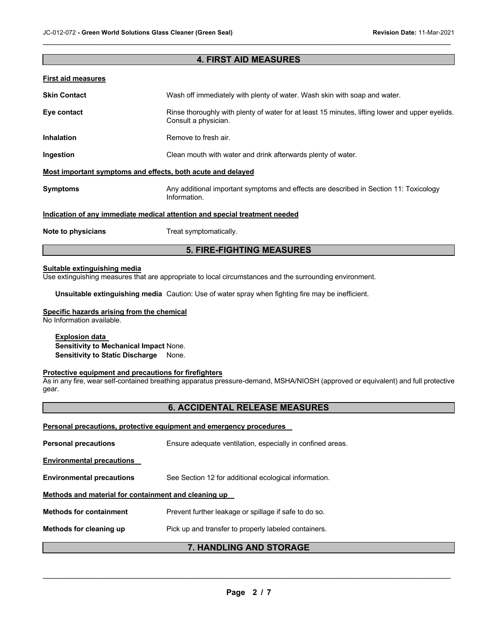# **4. FIRST AID MEASURES**

 $\mathcal{L}_\mathcal{L} = \mathcal{L}_\mathcal{L} = \mathcal{L}_\mathcal{L} = \mathcal{L}_\mathcal{L} = \mathcal{L}_\mathcal{L} = \mathcal{L}_\mathcal{L} = \mathcal{L}_\mathcal{L} = \mathcal{L}_\mathcal{L} = \mathcal{L}_\mathcal{L} = \mathcal{L}_\mathcal{L} = \mathcal{L}_\mathcal{L} = \mathcal{L}_\mathcal{L} = \mathcal{L}_\mathcal{L} = \mathcal{L}_\mathcal{L} = \mathcal{L}_\mathcal{L} = \mathcal{L}_\mathcal{L} = \mathcal{L}_\mathcal{L}$ 

| <b>First aid measures</b>                                                  |                                                                                                                         |  |  |
|----------------------------------------------------------------------------|-------------------------------------------------------------------------------------------------------------------------|--|--|
| <b>Skin Contact</b>                                                        | Wash off immediately with plenty of water. Wash skin with soap and water.                                               |  |  |
| Eye contact                                                                | Rinse thoroughly with plenty of water for at least 15 minutes, lifting lower and upper eyelids.<br>Consult a physician. |  |  |
| <b>Inhalation</b>                                                          | Remove to fresh air.                                                                                                    |  |  |
| Ingestion                                                                  | Clean mouth with water and drink afterwards plenty of water.                                                            |  |  |
| Most important symptoms and effects, both acute and delayed                |                                                                                                                         |  |  |
| <b>Symptoms</b>                                                            | Any additional important symptoms and effects are described in Section 11: Toxicology<br>Information.                   |  |  |
| Indication of any immediate medical attention and special treatment needed |                                                                                                                         |  |  |
| Note to physicians                                                         | Treat symptomatically.                                                                                                  |  |  |

# **5. FIRE-FIGHTING MEASURES**

### **Suitable extinguishing media**

Use extinguishing measures that are appropriate to local circumstances and the surrounding environment.

**Unsuitable extinguishing media** Caution: Use of water spray when fighting fire may be inefficient.

### **Specific hazards arising from the chemical**

No Information available.

### **Explosion data**

**Sensitivity to Mechanical Impact** None. **Sensitivity to Static Discharge** None.

### **Protective equipment and precautions for firefighters**

As in any fire, wear self-contained breathing apparatus pressure-demand, MSHA/NIOSH (approved or equivalent) and full protective gear.

# **6. ACCIDENTAL RELEASE MEASURES**

| Methods for cleaning up                                             | Pick up and transfer to properly labeled containers.       |  |  |  |
|---------------------------------------------------------------------|------------------------------------------------------------|--|--|--|
| <b>Methods for containment</b>                                      | Prevent further leakage or spillage if safe to do so.      |  |  |  |
| Methods and material for containment and cleaning up                |                                                            |  |  |  |
| <b>Environmental precautions</b>                                    | See Section 12 for additional ecological information.      |  |  |  |
| <b>Environmental precautions</b>                                    |                                                            |  |  |  |
| <b>Personal precautions</b>                                         | Ensure adequate ventilation, especially in confined areas. |  |  |  |
| Personal precautions, protective equipment and emergency procedures |                                                            |  |  |  |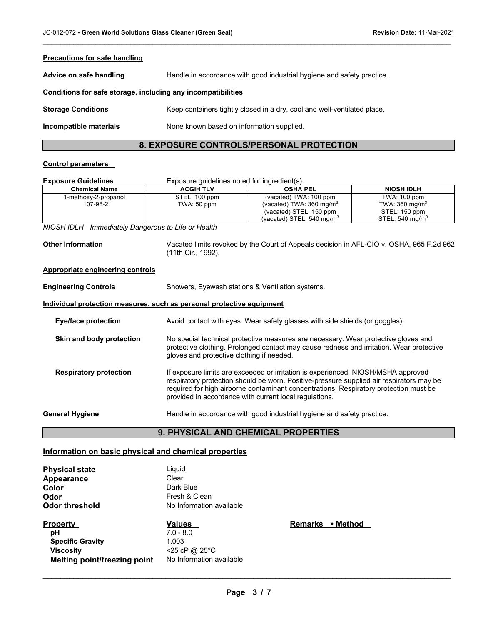| <b>Precautions for safe handling</b>                         |                                                                          |  |  |
|--------------------------------------------------------------|--------------------------------------------------------------------------|--|--|
| Advice on safe handling                                      | Handle in accordance with good industrial hygiene and safety practice.   |  |  |
| Conditions for safe storage, including any incompatibilities |                                                                          |  |  |
| <b>Storage Conditions</b>                                    | Keep containers tightly closed in a dry, cool and well-ventilated place. |  |  |
| Incompatible materials                                       | None known based on information supplied.                                |  |  |
|                                                              |                                                                          |  |  |

 $\mathcal{L}_\mathcal{L} = \mathcal{L}_\mathcal{L} = \mathcal{L}_\mathcal{L} = \mathcal{L}_\mathcal{L} = \mathcal{L}_\mathcal{L} = \mathcal{L}_\mathcal{L} = \mathcal{L}_\mathcal{L} = \mathcal{L}_\mathcal{L} = \mathcal{L}_\mathcal{L} = \mathcal{L}_\mathcal{L} = \mathcal{L}_\mathcal{L} = \mathcal{L}_\mathcal{L} = \mathcal{L}_\mathcal{L} = \mathcal{L}_\mathcal{L} = \mathcal{L}_\mathcal{L} = \mathcal{L}_\mathcal{L} = \mathcal{L}_\mathcal{L}$ 

# **8. EXPOSURE CONTROLS/PERSONAL PROTECTION**

### **Control parameters**

| <b>Exposure Guidelines</b>       | Exposure quidelines noted for ingredient(s). |                                                                                                                                  |                                                                                          |  |
|----------------------------------|----------------------------------------------|----------------------------------------------------------------------------------------------------------------------------------|------------------------------------------------------------------------------------------|--|
| <b>Chemical Name</b>             | <b>ACGIH TLV</b>                             | <b>OSHA PEL</b>                                                                                                                  | <b>NIOSH IDLH</b>                                                                        |  |
| 1-methoxy-2-propanol<br>107-98-2 | STEL: 100 ppm<br>TWA: 50 ppm                 | (vacated) TWA: 100 ppm<br>(vacated) TWA: $360 \text{ mg/m}^3$<br>(vacated) STEL: 150 ppm<br>(vacated) STEL: $540 \text{ mg/m}^3$ | TWA: 100 ppm<br>TWA: $360 \text{ mg/m}^3$<br>STEL: 150 ppm<br>STEL: $540 \text{ mg/m}^3$ |  |

*NIOSH IDLH Immediately Dangerous to Life or Health* 

**Other Information** Vacated limits revoked by the Court of Appeals decision in AFL-CIO v. OSHA, 965 F.2d 962 (11th Cir., 1992).

### **Appropriate engineering controls**

| <b>Engineering Controls</b> | Showers, Eyewash stations & Ventilation systems.                             |  |  |
|-----------------------------|------------------------------------------------------------------------------|--|--|
|                             | Individual protection measures, such as personal protective equipment        |  |  |
| Eye/face protection         | Avoid contact with eyes. Wear safety glasses with side shields (or goggles). |  |  |
|                             |                                                                              |  |  |

**Skin and body protection** No special technical protective measures are necessary. Wear protective gloves and protective clothing. Prolonged contact may cause redness and irritation. Wear protective gloves and protective clothing if needed.

**Respiratory protection** If exposure limits are exceeded or irritation is experienced, NIOSH/MSHA approved respiratory protection should be worn. Positive-pressure supplied air respirators may be required for high airborne contaminant concentrations. Respiratory protection must be provided in accordance with current local regulations.

General Hygiene **Example 3** Handle in accordance with good industrial hygiene and safety practice.

# **9. PHYSICAL AND CHEMICAL PROPERTIES**

### **Information on basic physical and chemical properties**

| <b>Physical state</b> | Liguid |
|-----------------------|--------|
| Appearance            | Clear  |
| Color                 | Dark I |
| Odor                  | Fresh  |
| <b>Odor threshold</b> | No Inf |
|                       |        |

Liquid<br>Clear Dark Blue **Odor** Fresh & Clean **No Information available** 

# **Property Calues Values Accord Property Accord Property pH** 7.0 - 8.0 **Specific Gravity** 1.003 **Viscosity** <25 cP @ 25°C **Melting point/freezing point** No Information available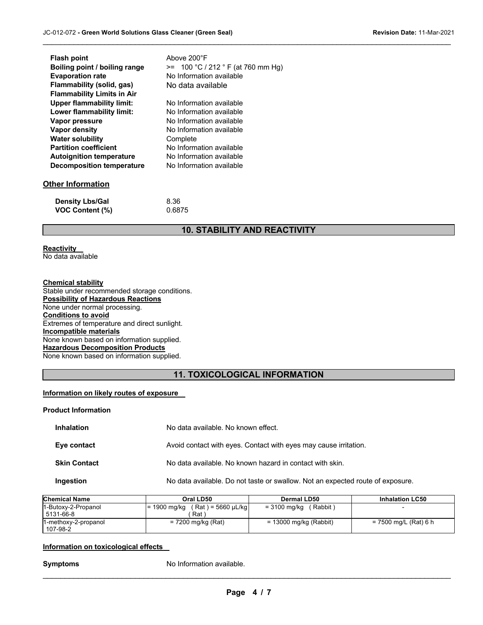| <b>Flash point</b>                | Above 200°F                         |
|-----------------------------------|-------------------------------------|
| Boiling point / boiling range     | $>= 100 °C / 212 °F (at 760 mm Hg)$ |
| <b>Evaporation rate</b>           | No Information available            |
| Flammability (solid, gas)         | No data available                   |
| <b>Flammability Limits in Air</b> |                                     |
| <b>Upper flammability limit:</b>  | No Information available            |
| Lower flammability limit:         | No Information available            |
| Vapor pressure                    | No Information available            |
| Vapor density                     | No Information available            |
| <b>Water solubility</b>           | Complete                            |
| <b>Partition coefficient</b>      | No Information available            |
| <b>Autoignition temperature</b>   | No Information available            |
| <b>Decomposition temperature</b>  | No Information available            |
|                                   |                                     |
| Other Information                 |                                     |

| <b>Density Lbs/Gal</b> | 8.36   |
|------------------------|--------|
| <b>VOC Content (%)</b> | 0.6875 |

# **10. STABILITY AND REACTIVITY**

 $\mathcal{L}_\mathcal{L} = \mathcal{L}_\mathcal{L} = \mathcal{L}_\mathcal{L} = \mathcal{L}_\mathcal{L} = \mathcal{L}_\mathcal{L} = \mathcal{L}_\mathcal{L} = \mathcal{L}_\mathcal{L} = \mathcal{L}_\mathcal{L} = \mathcal{L}_\mathcal{L} = \mathcal{L}_\mathcal{L} = \mathcal{L}_\mathcal{L} = \mathcal{L}_\mathcal{L} = \mathcal{L}_\mathcal{L} = \mathcal{L}_\mathcal{L} = \mathcal{L}_\mathcal{L} = \mathcal{L}_\mathcal{L} = \mathcal{L}_\mathcal{L}$ 

### **Reactivity**

No data available

# **Chemical stability**

Stable under recommended storage conditions. **Possibility of Hazardous Reactions** None under normal processing. **Conditions to avoid** Extremes of temperature and direct sunlight. **Incompatible materials** None known based on information supplied. **Hazardous Decomposition Products** None known based on information supplied.

# **11. TOXICOLOGICAL INFORMATION**

### **Information on likely routes of exposure**

### **Product Information**

| <b>Inhalation</b>   | No data available. No known effect.                                            |
|---------------------|--------------------------------------------------------------------------------|
| Eye contact         | Avoid contact with eyes. Contact with eyes may cause irritation.               |
| <b>Skin Contact</b> | No data available. No known hazard in contact with skin.                       |
| Ingestion           | No data available. Do not taste or swallow. Not an expected route of exposure. |

| <b>Chemical Name</b>             | Oral LD50                                | Dermal LD50              | <b>Inhalation LC50</b> |
|----------------------------------|------------------------------------------|--------------------------|------------------------|
| 1-Butoxy-2-Propanol<br>5131-66-8 | $= 1900$ mg/kg (Rat) = 5660 µL/kg<br>Rat | (Rabbit)<br>= 3100 mg/kg |                        |
| 1-methoxy-2-propanol<br>107-98-2 | = 7200 mg/kg (Rat)                       | = 13000 mg/kg (Rabbit)   | = 7500 mg/L (Rat) 6 h  |

### **Information on toxicological effects**

**Symptoms** No Information available.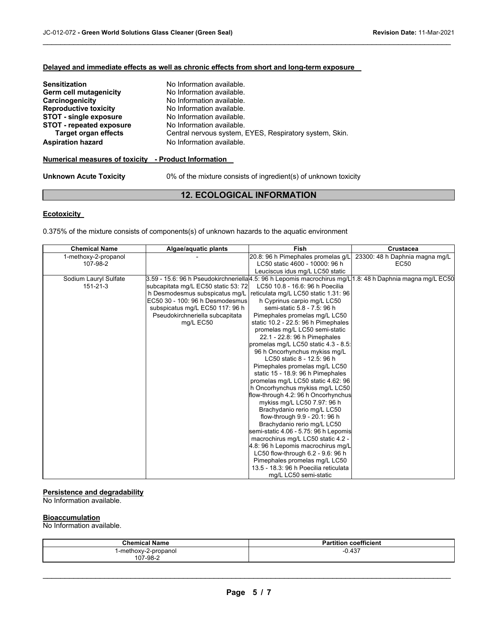### **Delayed and immediate effects as well as chronic effects from short and long-term exposure**

| <b>Sensitization</b>            | No Information available.                               |
|---------------------------------|---------------------------------------------------------|
| Germ cell mutagenicity          | No Information available.                               |
| Carcinogenicity                 | No Information available.                               |
| <b>Reproductive toxicity</b>    | No Information available.                               |
| <b>STOT - single exposure</b>   | No Information available.                               |
| <b>STOT - repeated exposure</b> | No Information available.                               |
| <b>Target organ effects</b>     | Central nervous system, EYES, Respiratory system, Skin. |
| <b>Aspiration hazard</b>        | No Information available.                               |

### **Numerical measures of toxicity - Product Information**

**Unknown Acute Toxicity** 0% of the mixture consists of ingredient(s) of unknown toxicity

# **12. ECOLOGICAL INFORMATION**

 $\mathcal{L}_\mathcal{L} = \mathcal{L}_\mathcal{L} = \mathcal{L}_\mathcal{L} = \mathcal{L}_\mathcal{L} = \mathcal{L}_\mathcal{L} = \mathcal{L}_\mathcal{L} = \mathcal{L}_\mathcal{L} = \mathcal{L}_\mathcal{L} = \mathcal{L}_\mathcal{L} = \mathcal{L}_\mathcal{L} = \mathcal{L}_\mathcal{L} = \mathcal{L}_\mathcal{L} = \mathcal{L}_\mathcal{L} = \mathcal{L}_\mathcal{L} = \mathcal{L}_\mathcal{L} = \mathcal{L}_\mathcal{L} = \mathcal{L}_\mathcal{L}$ 

### **Ecotoxicity**

0.375% of the mixture consists of components(s) of unknown hazards to the aquatic environment

| <b>Chemical Name</b>  | Algae/aquatic plants                | Fish                                  | Crustacea                                                                                                  |
|-----------------------|-------------------------------------|---------------------------------------|------------------------------------------------------------------------------------------------------------|
| 1-methoxy-2-propanol  |                                     | 20.8: 96 h Pimephales promelas g/L    | 23300: 48 h Daphnia magna mg/L                                                                             |
| 107-98-2              |                                     | LC50 static 4600 - 10000: 96 h        | EC50                                                                                                       |
|                       |                                     | Leuciscus idus mg/L LC50 static       |                                                                                                            |
| Sodium Lauryl Sulfate |                                     |                                       | 3.59 - 15.6: 96 h Pseudokirchneriella 4.5: 96 h Lepomis macrochirus mq/L 1.8: 48 h Daphnia magna mq/L EC50 |
| $151 - 21 - 3$        | subcapitata mg/L EC50 static 53: 72 | LC50 10.8 - 16.6: 96 h Poecilia       |                                                                                                            |
|                       | h Desmodesmus subspicatus mg/L      | reticulata mg/L LC50 static 1.31: 96  |                                                                                                            |
|                       | EC50 30 - 100: 96 h Desmodesmus     | h Cyprinus carpio mg/L LC50           |                                                                                                            |
|                       | subspicatus mg/L EC50 117: 96 h     | semi-static 5.8 - 7.5: 96 h           |                                                                                                            |
|                       | Pseudokirchneriella subcapitata     | Pimephales promelas mg/L LC50         |                                                                                                            |
|                       | mg/L EC50                           | static 10.2 - 22.5: 96 h Pimephales   |                                                                                                            |
|                       |                                     | promelas mg/L LC50 semi-static        |                                                                                                            |
|                       |                                     | 22.1 - 22.8: 96 h Pimephales          |                                                                                                            |
|                       |                                     | promelas mg/L LC50 static 4.3 - 8.5:  |                                                                                                            |
|                       |                                     | 96 h Oncorhynchus mykiss mg/L         |                                                                                                            |
|                       |                                     | LC50 static 8 - 12.5: 96 h            |                                                                                                            |
|                       |                                     | Pimephales promelas mg/L LC50         |                                                                                                            |
|                       |                                     | static 15 - 18.9: 96 h Pimephales     |                                                                                                            |
|                       |                                     | promelas mg/L LC50 static 4.62: 96    |                                                                                                            |
|                       |                                     | h Oncorhynchus mykiss mg/L LC50       |                                                                                                            |
|                       |                                     | flow-through 4.2: 96 h Oncorhynchus   |                                                                                                            |
|                       |                                     | mykiss mg/L LC50 7.97: 96 h           |                                                                                                            |
|                       |                                     | Brachydanio rerio mg/L LC50           |                                                                                                            |
|                       |                                     | flow-through 9.9 - 20.1: 96 h         |                                                                                                            |
|                       |                                     | Brachydanio rerio mg/L LC50           |                                                                                                            |
|                       |                                     | semi-static 4.06 - 5.75: 96 h Lepomis |                                                                                                            |
|                       |                                     | macrochirus mg/L LC50 static 4.2 -    |                                                                                                            |
|                       |                                     | 4.8: 96 h Lepomis macrochirus mg/L    |                                                                                                            |
|                       |                                     | LC50 flow-through 6.2 - 9.6: 96 h     |                                                                                                            |
|                       |                                     | Pimephales promelas mg/L LC50         |                                                                                                            |
|                       |                                     | 13.5 - 18.3: 96 h Poecilia reticulata |                                                                                                            |
|                       |                                     | mg/L LC50 semi-static                 |                                                                                                            |

### **Persistence and degradability**

No Information available.

### **Bioaccumulation**

No Information available.

| <b>Chemical Name</b>                 | D.<br>Partition coefficient             |
|--------------------------------------|-----------------------------------------|
| -methoxy-2-propanol<br>$\sim$ $\sim$ | $-0.437$<br>$\sim$ $\sim$ $\sim$ $\sim$ |
| 107-98-2                             |                                         |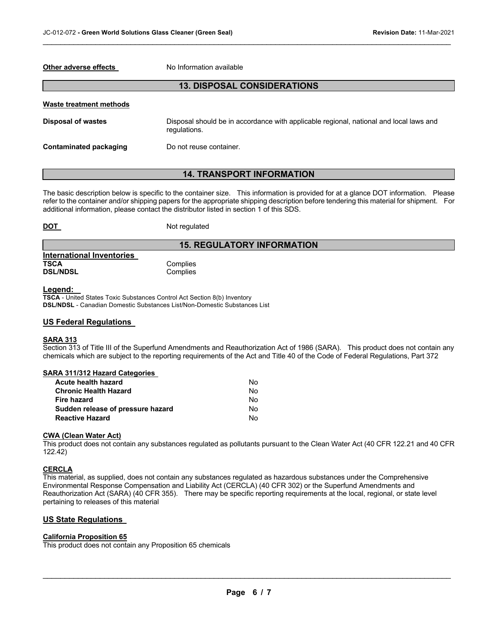### **Other adverse effects** No Information available

## **13. DISPOSAL CONSIDERATIONS**

 $\mathcal{L}_\mathcal{L} = \mathcal{L}_\mathcal{L} = \mathcal{L}_\mathcal{L} = \mathcal{L}_\mathcal{L} = \mathcal{L}_\mathcal{L} = \mathcal{L}_\mathcal{L} = \mathcal{L}_\mathcal{L} = \mathcal{L}_\mathcal{L} = \mathcal{L}_\mathcal{L} = \mathcal{L}_\mathcal{L} = \mathcal{L}_\mathcal{L} = \mathcal{L}_\mathcal{L} = \mathcal{L}_\mathcal{L} = \mathcal{L}_\mathcal{L} = \mathcal{L}_\mathcal{L} = \mathcal{L}_\mathcal{L} = \mathcal{L}_\mathcal{L}$ 

| Waste treatment methods |                                                                                                        |
|-------------------------|--------------------------------------------------------------------------------------------------------|
| Disposal of wastes      | Disposal should be in accordance with applicable regional, national and local laws and<br>regulations. |
| Contaminated packaging  | Do not reuse container.                                                                                |

# **14. TRANSPORT INFORMATION**

The basic description below is specific to the container size. This information is provided for at a glance DOT information. Please refer to the container and/or shipping papers for the appropriate shipping description before tendering this material for shipment. For additional information, please contact the distributor listed in section 1 of this SDS.

### **DOT** Not regulated

# **15. REGULATORY INFORMATION**

| International Inventories |  |
|---------------------------|--|
| TSCA                      |  |
| <b>DSL/NDSL</b>           |  |

### **Legend:**

**TSCA** - United States Toxic Substances Control Act Section 8(b) Inventory **DSL/NDSL** - Canadian Domestic Substances List/Non-Domestic Substances List

**Complies** Complies

### **US Federal Regulations**

### **SARA 313**

Section 313 of Title III of the Superfund Amendments and Reauthorization Act of 1986 (SARA). This product does not contain any chemicals which are subject to the reporting requirements of the Act and Title 40 of the Code of Federal Regulations, Part 372

# **SARA 311/312 Hazard Categories**

| Acute health hazard               | N٥ |
|-----------------------------------|----|
| Chronic Health Hazard             | N٥ |
| Fire hazard                       | N٥ |
| Sudden release of pressure hazard | N٥ |
| Reactive Hazard                   | N٥ |

#### **CWA (Clean Water Act)**

This product does not contain any substances regulated as pollutants pursuant to the Clean Water Act (40 CFR 122.21 and 40 CFR 122.42)

### **CERCLA**

This material, as supplied, does not contain any substances regulated as hazardous substances under the Comprehensive Environmental Response Compensation and Liability Act (CERCLA) (40 CFR 302) or the Superfund Amendments and Reauthorization Act (SARA) (40 CFR 355). There may be specific reporting requirements at the local, regional, or state level pertaining to releases of this material

### **US State Regulations**

### **California Proposition 65**

This product does not contain any Proposition 65 chemicals